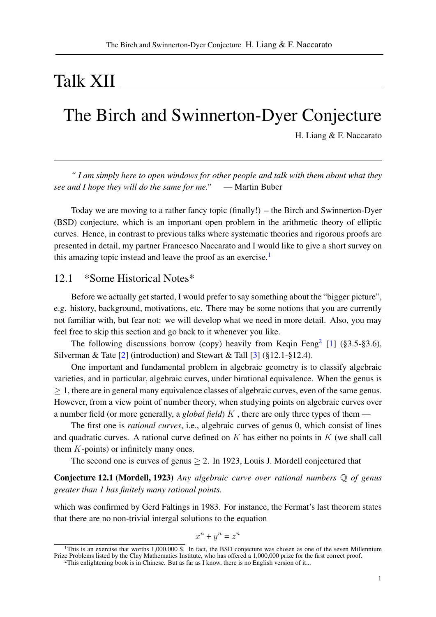# Talk XII

### The Birch and Swinnerton-Dyer Conjecture

H. Liang & F. Naccarato

*" I am simply here to open windows for other people and talk with them about what they see and I hope they will do the same for me."* — Martin Buber

Today we are moving to a rather fancy topic (finally!) – the Birch and Swinnerton-Dyer (BSD) conjecture, which is an important open problem in the arithmetic theory of elliptic curves. Hence, in contrast to previous talks where systematic theories and rigorous proofs are presented in detail, my partner Francesco Naccarato and I would like to give a short survey on this amazing topic instead and leave the proof as an exercise.<sup>[1](#page-0-0)</sup>

### 12.1 \*Some Historical Notes\*

Before we actually get started, I would prefer to say something about the "bigger picture", e.g. history, background, motivations, etc. There may be some notions that you are currently not familiar with, but fear not: we will develop what we need in more detail. Also, you may feel free to skip this section and go back to it whenever you like.

The following discussions borrow (copy) heavily from Keqin Feng<sup>[2](#page-0-1)</sup> [\[1\]](#page-9-0) (§3.5-§3.6), Silverman & Tate  $\lceil 2 \rceil$  (introduction) and Stewart & Tall  $\lceil 3 \rceil$  (§12.1-§12.4).

One important and fundamental problem in algebraic geometry is to classify algebraic varieties, and in particular, algebraic curves, under birational equivalence. When the genus is ≥ 1, there are in general many equivalence classes of algebraic curves, even of the same genus. However, from a view point of number theory, when studying points on algebraic curves over a number field (or more generally, a *global field*) K , there are only three types of them —

The first one is *rational curves*, i.e., algebraic curves of genus 0, which consist of lines and quadratic curves. A rational curve defined on  $K$  has either no points in  $K$  (we shall call them K-points) or infinitely many ones.

The second one is curves of genus  $\geq 2$ . In 1923, Louis J. Mordell conjectured that

Conjecture 12.1 (Mordell, 1923) *Any algebraic curve over rational numbers* Q *of genus greater than 1 has finitely many rational points.*

which was confirmed by Gerd Faltings in 1983. For instance, the Fermat's last theorem states that there are no non-trivial intergal solutions to the equation

$$
x^n + y^n = z^n
$$

<span id="page-0-0"></span><sup>&</sup>lt;sup>1</sup>This is an exercise that worths 1,000,000 \$. In fact, the BSD conjecture was chosen as one of the seven Millennium Prize Problems listed by the Clay Mathematics Institute, who has offered a 1,000,000 prize for the first correct proof.

<span id="page-0-1"></span><sup>2</sup>This enlightening book is in Chinese. But as far as I know, there is no English version of it...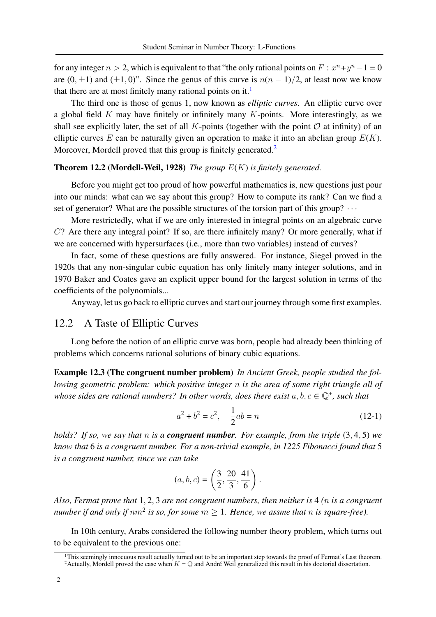for any integer  $n > 2$ , which is equivalent to that "the only rational points on  $F : x^n + y^n - 1 = 0$ are  $(0, \pm 1)$  and  $(\pm 1, 0)$ ". Since the genus of this curve is  $n(n - 1)/2$ , at least now we know that there are at most finitely many rational points on it.<sup>[1](#page-1-0)</sup>

The third one is those of genus 1, now known as *elliptic curves*. An elliptic curve over a global field  $K$  may have finitely or infinitely many  $K$ -points. More interestingly, as we shall see explicitly later, the set of all K-points (together with the point  $\mathcal O$  at infinity) of an elliptic curves  $E$  can be naturally given an operation to make it into an abelian group  $E(K)$ . Moreover, Mordell proved that this group is finitely generated.<sup>[2](#page-1-1)</sup>

#### <span id="page-1-3"></span>Theorem 12.2 (Mordell-Weil, 1928) *The group* E(K) *is finitely generated.*

Before you might get too proud of how powerful mathematics is, new questions just pour into our minds: what can we say about this group? How to compute its rank? Can we find a set of generator? What are the possible structures of the torsion part of this group?  $\cdots$ 

More restrictedly, what if we are only interested in integral points on an algebraic curve C? Are there any integral point? If so, are there infinitely many? Or more generally, what if we are concerned with hypersurfaces (i.e., more than two variables) instead of curves?

In fact, some of these questions are fully answered. For instance, Siegel proved in the 1920s that any non-singular cubic equation has only finitely many integer solutions, and in 1970 Baker and Coates gave an explicit upper bound for the largest solution in terms of the coefficients of the polynomials...

Anyway, let us go back to elliptic curves and start our journey through some first examples.

#### 12.2 A Taste of Elliptic Curves

Long before the notion of an elliptic curve was born, people had already been thinking of problems which concerns rational solutions of binary cubic equations.

Example 12.3 (The congruent number problem) *In Ancient Greek, people studied the following geometric problem: which positive integer* n *is the area of some right triangle all of* whose sides are rational numbers? In other words, does there exist  $a, b, c \in \mathbb{Q}^+$ , such that

<span id="page-1-2"></span>
$$
a^2 + b^2 = c^2, \quad \frac{1}{2}ab = n \tag{12-1}
$$

*holds? If so, we say that* n *is a congruent number. For example, from the triple* (3, 4, 5) *we know that* 6 *is a congruent number. For a non-trivial example, in 1225 Fibonacci found that* 5 *is a congruent number, since we can take*

$$
(a, b, c) = \left(\frac{3}{2}, \frac{20}{3}, \frac{41}{6}\right).
$$

*Also, Fermat prove that* 1, 2, 3 *are not congruent numbers, then neither is* 4 *(*n *is a congruent number if and only if*  $nm^2$  *is so, for some*  $m \geq 1$ *. Hence, we assme that n is square-free).* 

In 10th century, Arabs considered the following number theory problem, which turns out to be equivalent to the previous one:

<span id="page-1-1"></span><span id="page-1-0"></span><sup>&</sup>lt;sup>1</sup>This seemingly innocuous result actually turned out to be an important step towards the proof of Fermat's Last theorem. <sup>2</sup> Actually, Mordell proved the case when  $K = \mathbb{Q}$  and André Weil generalized this result in his doctorial dissertation.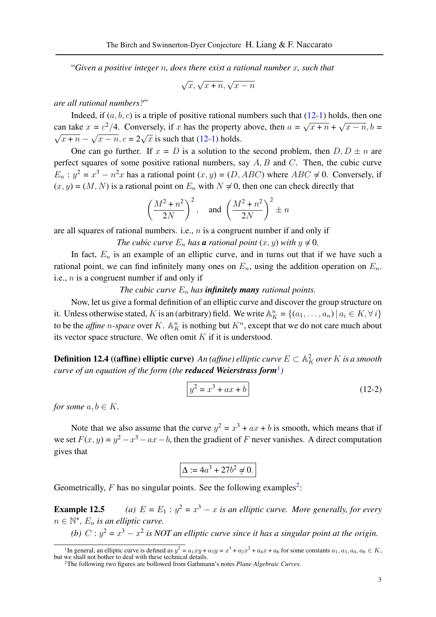"*Given a positive integer* n*, does there exist a rational number* x*, such that*

 $\sqrt{x}, \sqrt{x+n}, \sqrt{x-n}$ 

*are all rational numbers?*"

Indeed, if  $(a, b, c)$  is a triple of positive rational numbers such that  $(12-1)$  holds, then one can take  $x = c^2/4$ . Conversely, if x has the property above, then  $a = \sqrt{ }$  $\overline{x + n} +$ ™' can take  $x = c^2/4$ . Conversely, if x has the property above, then  $a = \sqrt{x + n} + \sqrt{x - n}$ ,  $b = \sqrt{x + n}$ .  $\frac{\pi}{x + n} - \sqrt{x - n}$ ,  $c = 2\sqrt{x}$  is such that [\(12-1\)](#page-1-2) holds.

One can go further. If  $x = D$  is a solution to the second problem, then  $D, D \pm n$  are perfect squares of some positive rational numbers, say  $A, B$  and  $C$ . Then, the cubic curve  $E_n$ :  $y^2 = x^3 - n^2x$  has a rational point  $(x, y) = (D, ABC)$  where  $ABC \neq 0$ . Conversely, if  $(x, y) = (M, N)$  is a rational point on  $E_n$  with  $N \neq 0$ , then one can check directly that

$$
\left(\frac{M^2 + n^2}{2N}\right)^2, \quad \text{and } \left(\frac{M^2 + n^2}{2N}\right)^2 \pm n
$$

are all squares of rational numbers. i.e.,  $n$  is a congruent number if and only if

*The cubic curve*  $E_n$  *has a rational point*  $(x, y)$  *with*  $y \neq 0$ *.* 

In fact,  $E_n$  is an example of an elliptic curve, and in turns out that if we have such a rational point, we can find infinitely many ones on  $E_n$ , using the addition operation on  $E_n$ . i.e.,  $n$  is a congruent number if and only if

#### *The cubic curve*  $E_n$  *has infinitely many rational points.*

Now, let us give a formal definition of an elliptic curve and discover the group structure on it. Unless otherwise stated, K is an (arbitrary) field. We write  $\mathbb{A}_{K}^{n} = \{(a_1, \ldots, a_n) | a_i \in K, \forall i\}$ to be the *affine n*-space over K.  $\mathbb{A}_{K}^{n}$  is nothing but  $K^{n}$ , except that we do not care much about its vector space structure. We often omit  $K$  if it is understood.

**Definition 12.4 ((affine) elliptic curve)** An (affine) elliptic curve  $E \subset \mathbb{A}^2_K$  over  $K$  is a smooth *curve of an equation of the form (the reduced Weierstrass form*[1](#page-2-0) *)*

<span id="page-2-2"></span>
$$
y^2 = x^3 + ax + b \tag{12-2}
$$

*for some*  $a, b \in K$ *.* 

Note that we also assume that the curve  $y^2 = x^3 + ax + b$  is smooth, which means that if we set  $F(x, y) = y^2 - x^3 - ax - b$ , then the gradient of F never vanishes. A direct computation gives that

$$
\Delta := 4a^3 + 27b^2 \neq 0.
$$

Geometrically,  $F$  has no singular points. See the following examples<sup>[2](#page-2-1)</sup>:

**Example 12.5** (a)  $E = E_1 : y^2 = x^3 - x$  is an elliptic curve. More generally, for every  $n \in \mathbb{N}^+$ ,  $E_n$  is an elliptic curve.

(b)  $C: y^2 = x^3 - x^2$  is NOT an elliptic curve since it has a singular point at the origin.

<span id="page-2-0"></span><sup>&</sup>lt;sup>1</sup>In general, an elliptic curve is defined as  $y^2 = a_1xy + a_3y = x^3 + a_2x^2 + a_4x + a_6$  for some constants  $a_1, a_3, a_4, a_6 \in K$ , but we shall not bother to deal with these technical details.

<span id="page-2-1"></span><sup>2</sup>The following two figures are bollowed from Gathmann's notes *Plane Algebraic Curves*.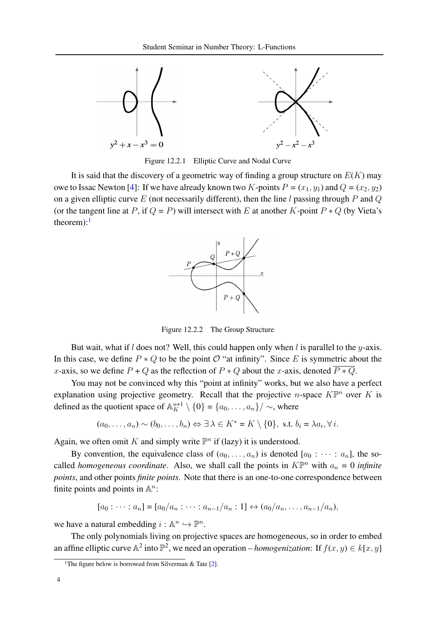

Figure 12.2.1 Elliptic Curve and Nodal Curve

It is said that the discovery of a geometric way of finding a group structure on  $E(K)$  may owe to Issac Newton [\[4\]](#page-9-3): If we have already known two K-points  $P = (x_1, y_1)$  and  $Q = (x_2, y_2)$ on a given elliptic curve E (not necessarily different), then the line l passing through P and Q (or the tangent line at P, if  $Q = P$ ) will intersect with E at another K-point  $P * Q$  (by Vieta's theorem): $<sup>1</sup>$  $<sup>1</sup>$  $<sup>1</sup>$ </sup>



Figure 12.2.2 The Group Structure

But wait, what if l does not? Well, this could happen only when l is parallel to the  $y$ -axis. In this case, we define  $P * Q$  to be the point  $\mathcal{O}$  "at infinity". Since E is symmetric about the x-axis, so we define  $P + Q$  as the reflection of  $P * Q$  about the x-axis, denoted  $\overline{P * Q}$ .

You may not be convinced why this "point at infinity" works, but we also have a perfect explanation using projective geometry. Recall that the projective *n*-space  $K\mathbb{P}^n$  over K is defined as the quotient space of  $\mathbb{A}_{K}^{n+1} \setminus \{0\} = \{a_0, \ldots, a_n\} / \sim$ , where

$$
(a_0, \ldots, a_n) \sim (b_0, \ldots, b_n) \Leftrightarrow \exists \lambda \in K^* = K \setminus \{0\}, \text{ s.t. } b_i = \lambda a_i, \forall i.
$$

Again, we often omit K and simply write  $\mathbb{P}^n$  if (lazy) it is understood.

By convention, the equivalence class of  $(a_0, \ldots, a_n)$  is denoted  $[a_0 : \cdots : a_n]$ , the socalled *homogeneous coordinate*. Also, we shall call the points in  $K\mathbb{P}^n$  with  $a_n = 0$  *infinite points*, and other points *finite points*. Note that there is an one-to-one correspondence between finite points and points in  $\mathbb{A}^n$ :

$$
[a_0: \cdots : a_n] = [a_0/a_n : \cdots : a_{n-1}/a_n : 1] \leftrightarrow (a_0/a_n, \ldots, a_{n-1}/a_n),
$$

we have a natural embedding  $i : \mathbb{A}^n \hookrightarrow \mathbb{P}^n$ .

The only polynomials living on projective spaces are homogeneous, so in order to embed an affine elliptic curve  $\mathbb{A}^2$  into  $\mathbb{P}^2$ , we need an operation – *homogenization*: If  $f(x, y) \in k[x, y]$ 

<span id="page-3-0"></span><sup>&</sup>lt;sup>1</sup>The figure below is borrowed from Silverman & Tate  $[2]$ .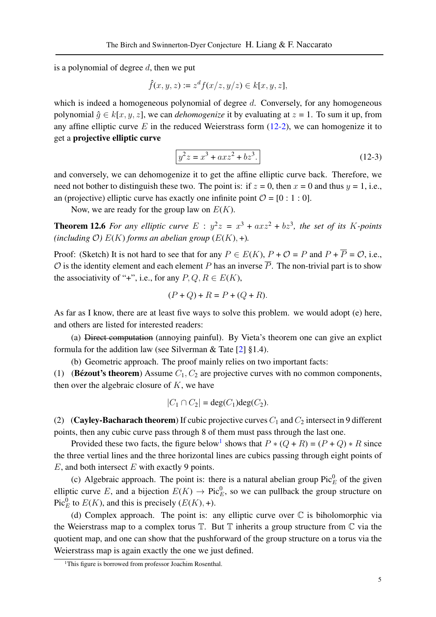is a polynomial of degree  $d$ , then we put

$$
\hat{f}(x, y, z) := z^d f(x/z, y/z) \in k[x, y, z],
$$

which is indeed a homogeneous polynomial of degree  $d$ . Conversely, for any homogeneous polynomial  $\hat{q} \in k[x, y, z]$ , we can *dehomogenize* it by evaluating at  $z = 1$ . To sum it up, from any affine elliptic curve  $E$  in the reduced Weierstrass form [\(12-2\)](#page-2-2), we can homogenize it to get a projective elliptic curve

$$
y^2 z = x^3 + axz^2 + bz^3.
$$
 (12-3)

and conversely, we can dehomogenize it to get the affine elliptic curve back. Therefore, we need not bother to distinguish these two. The point is: if  $z = 0$ , then  $x = 0$  and thus  $y = 1$ , i.e., an (projective) elliptic curve has exactly one infinite point  $\mathcal{O} = [0 : 1 : 0]$ .

Now, we are ready for the group law on  $E(K)$ .

**Theorem 12.6** For any elliptic curve  $E : y^2z = x^3 + axz^2 + bz^3$ , the set of its K-points *(including O)*  $E(K)$  *forms an abelian group*  $(E(K), +)$ *.* 

Proof: (Sketch) It is not hard to see that for any  $P \in E(K)$ ,  $P + \mathcal{O} = P$  and  $P + \overline{P} = \mathcal{O}$ , i.e.,  $\mathcal O$  is the identity element and each element P has an inverse  $\overline{P}$ . The non-trivial part is to show the associativity of "+", i.e., for any  $P, Q, R \in E(K)$ ,

$$
(P + Q) + R = P + (Q + R).
$$

As far as I know, there are at least five ways to solve this problem. we would adopt (e) here, and others are listed for interested readers:

(a) Direct computation (annoying painful). By Vieta's theorem one can give an explict formula for the addition law (see Silverman & Tate  $[2] \$  $[2] \$ ].4).

(b) Geometric approach. The proof mainly relies on two important facts:

(1) (Bézout's theorem) Assume  $C_1, C_2$  are projective curves with no common components, then over the algebraic closure of  $K$ , we have

$$
|C_1 \cap C_2| = \deg(C_1) \deg(C_2).
$$

(2) (Cayley-Bacharach theorem) If cubic projective curves  $C_1$  and  $C_2$  intersect in 9 different points, then any cubic curve pass through 8 of them must pass through the last one.

Provided these two facts, the figure below<sup>[1](#page-4-0)</sup> shows that  $P * (Q + R) = (P + Q) * R$  since the three vertial lines and the three horizontal lines are cubics passing through eight points of  $E$ , and both intersect  $E$  with exactly 9 points.

(c) Algebraic approach. The point is: there is a natural abelian group  $Pic_E^0$  of the given elliptic curve E, and a bijection  $E(K) \to Pic_{E}^{0}$ , so we can pullback the group structure on Pic<sup>0</sup><sub>E</sub> to  $E(K)$ , and this is precisely  $(E(K), +)$ .

(d) Complex approach. The point is: any elliptic curve over  $\mathbb C$  is biholomorphic via the Weierstrass map to a complex torus  $\mathbb T$ . But  $\mathbb T$  inherits a group structure from  $\mathbb C$  via the quotient map, and one can show that the pushforward of the group structure on a torus via the Weierstrass map is again exactly the one we just defined.

<span id="page-4-0"></span><sup>&</sup>lt;sup>1</sup>This figure is borrowed from professor Joachim Rosenthal.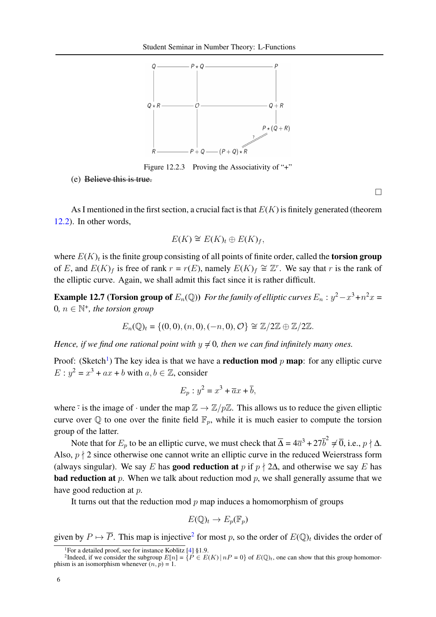

Figure 12.2.3 Proving the Associativity of "+"

(e) Believe this is true.

As I mentioned in the first section, a crucial fact is that  $E(K)$  is finitely generated (theorem [12.2\)](#page-1-3). In other words,

$$
E(K) \cong E(K)_t \oplus E(K)_f,
$$

where  $E(K)_t$  is the finite group consisting of all points of finite order, called the torsion group of E, and  $E(K)_f$  is free of rank  $r = r(E)$ , namely  $E(K)_f \cong \mathbb{Z}^r$ . We say that r is the rank of the elliptic curve. Again, we shall admit this fact since it is rather difficult.

**Example 12.7 (Torsion group of**  $E_n(\mathbb{Q})$ ) *For the family of elliptic curves*  $E_n : y^2 - x^3 + n^2x =$  $0, n \in \mathbb{N}^+$ , the torsion group

$$
E_n(\mathbb{Q})_t = \{(0,0), (n,0), (-n,0), \mathcal{O}\} \cong \mathbb{Z}/2\mathbb{Z} \oplus \mathbb{Z}/2\mathbb{Z}.
$$

*Hence, if we find one rational point with*  $y \neq 0$ , then we can find infinitely many ones.

Proof: (Sketch<sup>[1](#page-5-0)</sup>) The key idea is that we have a **reduction mod** p **map**: for any elliptic curve  $E: y^2 = x^3 + ax + b$  with  $a, b \in \mathbb{Z}$ , consider

$$
E_p: y^2 = x^3 + \overline{a}x + \overline{b},
$$

where  $\overline{\cdot}$  is the image of  $\cdot$  under the map  $\mathbb{Z} \to \mathbb{Z}/p\mathbb{Z}$ . This allows us to reduce the given elliptic curve over  $\mathbb Q$  to one over the finite field  $\mathbb F_p$ , while it is much easier to compute the torsion group of the latter.

Note that for  $E_p$  to be an elliptic curve, we must check that  $\overline{\Delta} = 4\overline{a}^3 + 27\overline{b}^2 \neq \overline{0}$ , i.e.,  $p \nmid \Delta$ . Also,  $p \nmid 2$  since otherwise one cannot write an elliptic curve in the reduced Weierstrass form (always singular). We say E has **good reduction at** p if  $p \nmid 2\Delta$ , and otherwise we say E has **bad reduction at** p. When we talk about reduction mod p, we shall generally assume that we have good reduction at p.

It turns out that the reduction mod  $p$  map induces a homomorphism of groups

$$
E(\mathbb{Q})_t \to E_p(\mathbb{F}_p)
$$

given by  $P \mapsto \overline{P}$ . This map is injective<sup>[2](#page-5-1)</sup> for most p, so the order of  $E(\mathbb{Q})_t$  divides the order of

 $\Box$ 

<span id="page-5-1"></span><span id="page-5-0"></span><sup>&</sup>lt;sup>1</sup>For a detailed proof, see for instance Koblitz [\[4\]](#page-9-3) §1.9.<br><sup>2</sup>Indeed, if we consider the subgroup  $E[n] = \{P \in E(K) | nP = 0\}$  of  $E(\mathbb{Q})_t$ , one can show that this group homomorphism is an isomorphism whenever  $(n, p) = 1$ .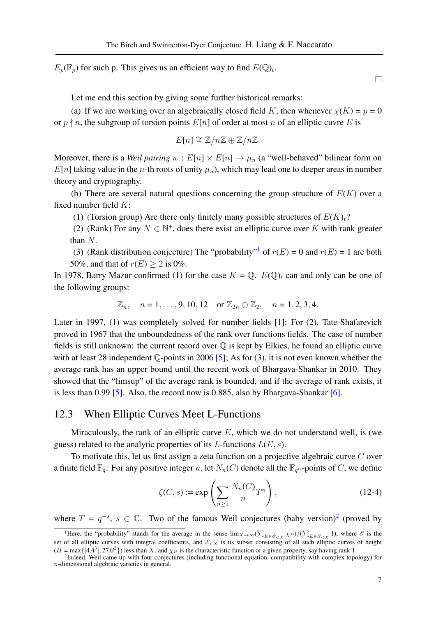$E_p(\mathbb{F}_p)$  for such p. This gives us an efficient way to find  $E(\mathbb{Q})_t$ .

 $\Box$ 

Let me end this section by giving some further historical remarks:

(a) If we are working over an algebraically closed field K, then whenever  $\chi(K) = p = 0$ or  $p \nmid n$ , the subgroup of torsion points  $E[n]$  of order at most n of an elliptic cuvre E is

$$
E[n] \cong \mathbb{Z}/n\mathbb{Z} \oplus \mathbb{Z}/n\mathbb{Z}.
$$

Moreover, there is a *Weil pairing*  $w : E[n] \times E[n] \rightarrow \mu_n$  (a "well-behaved" bilinear form on  $E[n]$  taking value in the *n*-th roots of unity  $\mu_n$ ), which may lead one to deeper areas in number theory and cryptography.

(b) There are several natural questions concerning the group structure of  $E(K)$  over a fixed number field  $K$ :

(1) (Torsion group) Are there only finitely many possible structures of  $E(K)_t$ ?

(2) (Rank) For any  $N \in \mathbb{N}^+$ , does there exist an elliptic curve over K with rank greater than N.

(3) (Rank distribution conjecture) The "probability"<sup>[1](#page-6-0)</sup> of  $r(E) = 0$  and  $r(E) = 1$  are both 50%, and that of  $r(E) > 2$  is 0%.

In 1978, Barry Mazur confirmed (1) for the case  $K = \mathbb{Q}$ .  $E(\mathbb{Q})_t$  can and only can be one of the following groups:

$$
\mathbb{Z}_n
$$
,  $n = 1, ..., 9, 10, 12$  or  $\mathbb{Z}_{2n} \oplus \mathbb{Z}_2$ ,  $n = 1, 2, 3, 4$ .

Later in 1997, (1) was completely solved for number fields [\[1\]](#page-9-0); For (2), Tate-Shafarevich proved in 1967 that the unboundedness of the rank over functions fields. The case of number fields is still unknown: the current record over  $\mathbb Q$  is kept by Elkies, he found an elliptic curve with at least 28 independent  $\mathbb{Q}$ -points in 2006 [\[5\]](#page-9-4); As for (3), it is not even known whether the average rank has an upper bound until the recent work of Bhargava-Shankar in 2010. They showed that the "limsup" of the average rank is bounded, and if the average of rank exists, it is less than 0.99 [\[5\]](#page-9-4). Also, the record now is 0.885, also by Bhargava-Shankar [\[6\]](#page-9-5).

#### 12.3 When Elliptic Curves Meet L-Functions

Miraculously, the rank of an elliptic curve  $E$ , which we do not understand well, is (we guess) related to the analytic properties of its L-functions  $L(E, s)$ .

To motivate this, let us first assign a zeta function on a projective algebraic curve  $C$  over a finite field  $\mathbb{F}_q$ : For any positive integer n, let  $N_n(C)$  denote all the  $\mathbb{F}_{q^n}$ -points of C, we define

$$
\zeta(C, s) := \exp\left(\sum_{n\geq 1} \frac{N_n(C)}{n} T^n\right),\tag{12-4}
$$

where  $T = q^{-s}$ ,  $s \in \mathbb{C}$ . Two of the famous Weil conjectures (baby version)<sup>[2](#page-6-1)</sup> (proved by

<span id="page-6-0"></span><sup>&</sup>lt;sup>1</sup>Here, the "probability" stands for the average in the sense  $\lim_{X\to\infty} (\sum_{E\in\mathscr{E}_{\leq X}} \chi_P) / (\sum_{E\in\mathscr{E}_{\leq X}} 1)$ , where  $\mathscr{E}$  is the set of all elliptic curves with integral coefficients, and  $\mathscr{E}_{\leq X}$  is its subset consisting of all such elliptic curves of height

<span id="page-6-1"></span> $(H = \max\{|4A^3|, 27B^2\})$  less than X, and  $\chi_P$  is the characteristic function of a given property, say having rank 1.<br><sup>2</sup>Indeed, Weil came up with four conjectures (including functional equation, compatibility with complex n-dimensional algebraic varieties in general.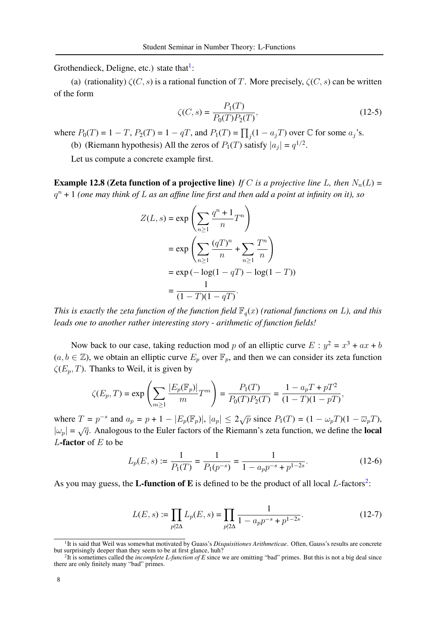Grothendieck, Deligne, etc.) state that $\frac{1}{1}$  $\frac{1}{1}$  $\frac{1}{1}$ :

(a) (rationality)  $\zeta(C, s)$  is a rational function of T. More precisely,  $\zeta(C, s)$  can be written of the form

$$
\zeta(C,s) = \frac{P_1(T)}{P_0(T)P_2(T)},
$$
\n(12-5)

where  $P_0(T) = 1 - T$ ,  $P_2(T) = 1 - qT$ , and  $P_1(T) = \prod_j (1 - a_j T)$  over  $\mathbb C$  for some  $a_j$ 's.

(b) (Riemann hypothesis) All the zeros of  $P_1(T)$  satisfy  $|a_j| = q^{1/2}$ .

Let us compute a concrete example first.

**Example 12.8 (Zeta function of a projective line)** *If* C *is a projective line* L, then  $N_n(L)$  = q <sup>n</sup> + 1 *(one may think of* L *as an affine line first and then add a point at infinity on it), so*

$$
Z(L, s) = \exp\left(\sum_{n\geq 1} \frac{q^n + 1}{n} T^n\right)
$$
  
= 
$$
\exp\left(\sum_{n\geq 1} \frac{(qT)^n}{n} + \sum_{n\geq 1} \frac{T^n}{n}\right)
$$
  
= 
$$
\exp(-\log(1 - qT) - \log(1 - T))
$$
  
= 
$$
\frac{1}{(1 - T)(1 - qT)}.
$$

*This is exactly the zeta function of the function field*  $\mathbb{F}_q(x)$  *(rational functions on L), and this leads one to another rather interesting story - arithmetic of function fields!*

Now back to our case, taking reduction mod p of an elliptic curve  $E : y^2 = x^3 + ax + b$  $(a, b \in \mathbb{Z})$ , we obtain an elliptic curve  $E_p$  over  $\mathbb{F}_p$ , and then we can consider its zeta function  $\zeta(E_p, T)$ . Thanks to Weil, it is given by

$$
\zeta(E_p, T) = \exp\left(\sum_{m\geq 1} \frac{|E_p(\mathbb{F}_p)|}{m} T^m\right) = \frac{P_1(T)}{P_0(T)P_2(T)} = \frac{1 - a_p T + pT^2}{(1 - T)(1 - pT)},
$$

where  $T = p^{-s}$  and  $a_p = p + 1 - |E_p(\mathbb{F}_p)|$ ,  $|a_p| \le 2\sqrt{p}$  since  $P_1(T) = (1 - \omega_p T)(1 - \overline{\omega}_p T)$ ,  $|\omega_p| = \sqrt{q}$ . Analogous to the Euler factors of the Riemann's zeta function, we define the **local** L-factor of  $E$  to be

$$
L_p(E, s) := \frac{1}{P_1(T)} = \frac{1}{P_1(p^{-s})} = \frac{1}{1 - a_p p^{-s} + p^{1-2s}}.
$$
\n(12-6)

As you may guess, the **L-function of E** is defined to be the product of all local *L*-factors<sup>[2](#page-7-1)</sup>:

$$
L(E, s) := \prod_{p \nmid 2\Delta} L_p(E, s) = \prod_{p \nmid 2\Delta} \frac{1}{1 - a_p p^{-s} + p^{1-2s}}.
$$
 (12-7)

<span id="page-7-0"></span><sup>&</sup>lt;sup>1</sup>It is said that Weil was somewhat motivated by Guass's *Disquisitiones Arithmeticae*. Often, Gauss's results are concrete but surprisingly deeper than they seem to be at first glance, huh?

<span id="page-7-1"></span><sup>2</sup> It is sometimes called the *incomplete L-function of E* since we are omitting "bad" primes. But this is not a big deal since there are only finitely many "bad" primes.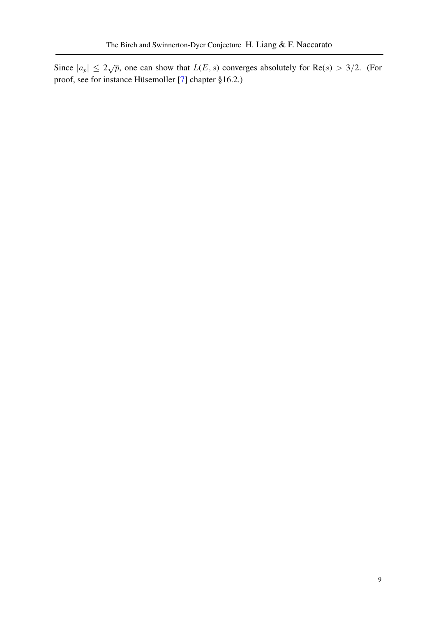Since  $|a_p| \le 2\sqrt{p}$ , one can show that  $L(E, s)$  converges absolutely for Re(s) > 3/2. (For proof, see for instance Hüsemoller [[7\]](#page-9-6) chapter §16.2.)